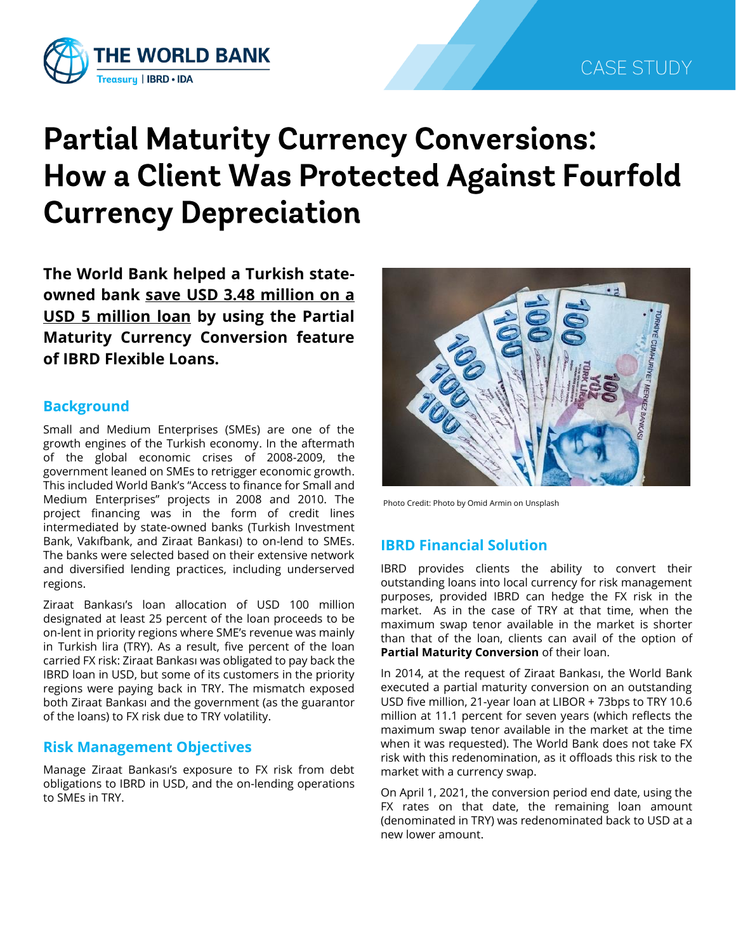

# **Partial Maturity Currency Conversions:** How a Client Was Protected Against Fourfold **Currency Depreciation**

**The World Bank helped a Turkish stateowned bank save USD 3.48 million on a USD 5 million loan by using the Partial Maturity Currency Conversion feature of IBRD Flexible Loans.**

## **Background**

Small and Medium Enterprises (SMEs) are one of the growth engines of the Turkish economy. In the aftermath of the global economic crises of 2008-2009, the government leaned on SMEs to retrigger economic growth. This included World Bank's "Access to finance for Small and Medium Enterprises" projects in 2008 and 2010. The project financing was in the form of credit lines intermediated by state-owned banks (Turkish Investment Bank, Vakıfbank, and Ziraat Bankası) to on-lend to SMEs. The banks were selected based on their extensive network and diversified lending practices, including underserved regions.

Ziraat Bankası's loan allocation of USD 100 million designated at least 25 percent of the loan proceeds to be on-lent in priority regions where SME's revenue was mainly in Turkish lira (TRY). As a result, five percent of the loan carried FX risk: Ziraat Bankası was obligated to pay back the IBRD loan in USD, but some of its customers in the priority regions were paying back in TRY. The mismatch exposed both Ziraat Bankası and the government (as the guarantor of the loans) to FX risk due to TRY volatility.

## **Risk Management Objectives**

Manage Ziraat Bankası's exposure to FX risk from debt obligations to IBRD in USD, and the on-lending operations to SMEs in TRY.



Photo Credit: Photo by Omid Armin on Unsplash

## **IBRD Financial Solution**

IBRD provides clients the ability to convert their outstanding loans into local currency for risk management purposes, provided IBRD can hedge the FX risk in the market. As in the case of TRY at that time, when the maximum swap tenor available in the market is shorter than that of the loan, clients can avail of the option of **Partial Maturity Conversion** of their loan.

In 2014, at the request of Ziraat Bankası, the World Bank executed a partial maturity conversion on an outstanding USD five million, 21-year loan at LIBOR + 73bps to TRY 10.6 million at 11.1 percent for seven years (which reflects the maximum swap tenor available in the market at the time when it was requested). The World Bank does not take FX risk with this redenomination, as it offloads this risk to the market with a currency swap.

On April 1, 2021, the conversion period end date, using the FX rates on that date, the remaining loan amount (denominated in TRY) was redenominated back to USD at a new lower amount.